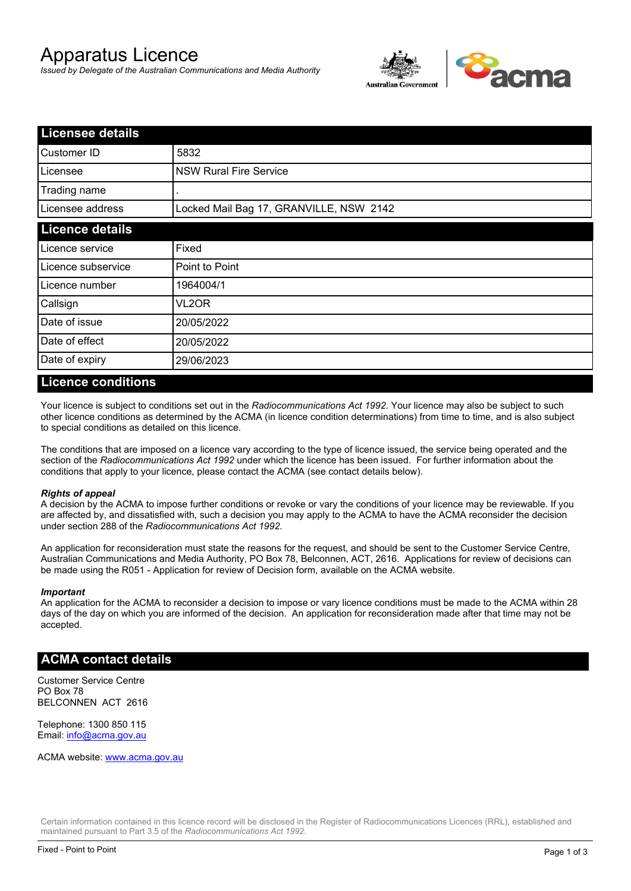# Apparatus Licence

*Issued by Delegate of the Australian Communications and Media Authority*



| <b>Licensee details</b> |                                         |  |
|-------------------------|-----------------------------------------|--|
| Customer ID             | 5832                                    |  |
| Licensee                | <b>NSW Rural Fire Service</b>           |  |
| Trading name            |                                         |  |
| Licensee address        | Locked Mail Bag 17, GRANVILLE, NSW 2142 |  |
| <b>Licence details</b>  |                                         |  |
| Licence service         | Fixed                                   |  |
| Licence subservice      | Point to Point                          |  |
| Licence number          | 1964004/1                               |  |
| Callsign                | VL2OR                                   |  |
| Date of issue           | 20/05/2022                              |  |
| Date of effect          | 20/05/2022                              |  |
| Date of expiry          | 29/06/2023                              |  |

#### **Licence conditions**

Your licence is subject to conditions set out in the *Radiocommunications Act 1992*. Your licence may also be subject to such other licence conditions as determined by the ACMA (in licence condition determinations) from time to time, and is also subject to special conditions as detailed on this licence.

The conditions that are imposed on a licence vary according to the type of licence issued, the service being operated and the section of the *Radiocommunications Act 1992* under which the licence has been issued. For further information about the conditions that apply to your licence, please contact the ACMA (see contact details below).

#### *Rights of appeal*

A decision by the ACMA to impose further conditions or revoke or vary the conditions of your licence may be reviewable. If you are affected by, and dissatisfied with, such a decision you may apply to the ACMA to have the ACMA reconsider the decision under section 288 of the *Radiocommunications Act 1992*.

An application for reconsideration must state the reasons for the request, and should be sent to the Customer Service Centre, Australian Communications and Media Authority, PO Box 78, Belconnen, ACT, 2616. Applications for review of decisions can be made using the R051 - Application for review of Decision form, available on the ACMA website.

#### *Important*

An application for the ACMA to reconsider a decision to impose or vary licence conditions must be made to the ACMA within 28 days of the day on which you are informed of the decision. An application for reconsideration made after that time may not be accepted.

#### **ACMA contact details**

Customer Service Centre PO Box 78 BELCONNEN ACT 2616

Telephone: 1300 850 115 Email: info@acma.gov.au

ACMA website: www.acma.gov.au

Certain information contained in this licence record will be disclosed in the Register of Radiocommunications Licences (RRL), established and maintained pursuant to Part 3.5 of the *Radiocommunications Act 1992.*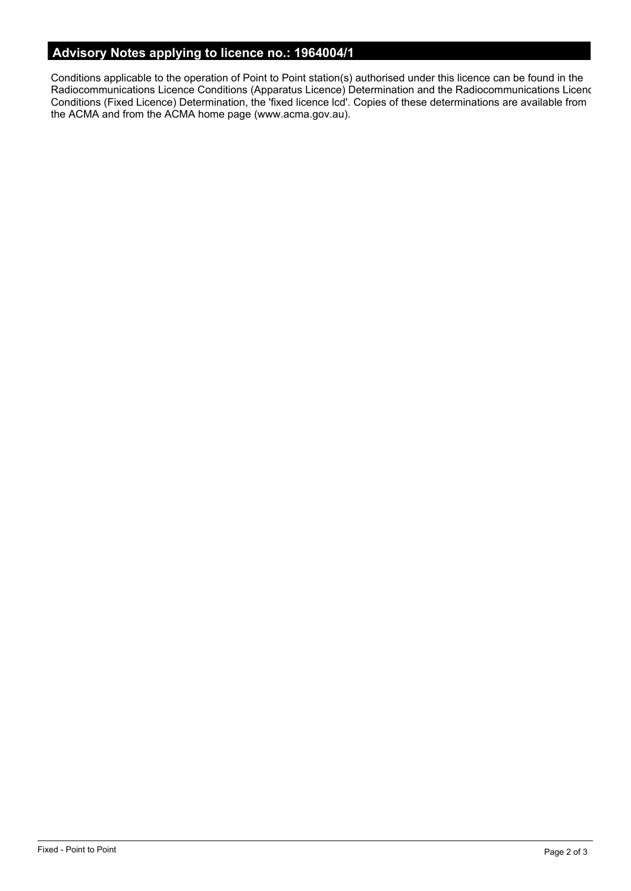# **Advisory Notes applying to licence no.: 1964004/1**

Conditions applicable to the operation of Point to Point station(s) authorised under this licence can be found in the Radiocommunications Licence Conditions (Apparatus Licence) Determination and the Radiocommunications Licence Conditions (Fixed Licence) Determination, the 'fixed licence lcd'. Copies of these determinations are available from the ACMA and from the ACMA home page (www.acma.gov.au).